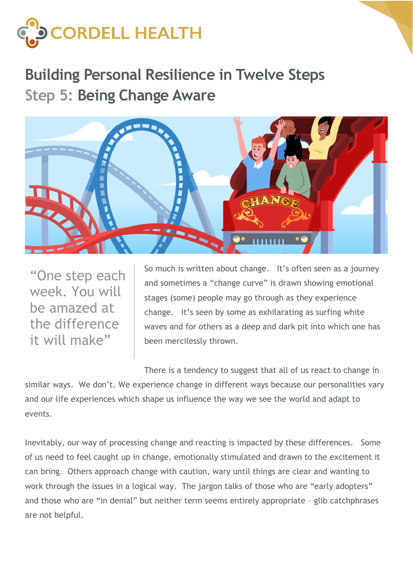

**Building Personal Resilience in Twelve Steps Step 5: Being Change Aware**



"One step each week. You will be amazed at the difference it will make"

So much is written about change. It's often seen as a journey and sometimes a "change curve" is drawn showing emotional stages (some) people may go through as they experience change. It's seen by some as exhilarating as surfing white waves and for others as a deep and dark pit into which one has been mercilessly thrown.

There is a tendency to suggest that all of us react to change in similar ways. We don't. We experience change in different ways because our personalities vary and our life experiences which shape us influence the way we see the world and adapt to events.

Inevitably, our way of processing change and reacting is impacted by these differences. Some of us need to feel caught up in change, emotionally stimulated and drawn to the excitement it can bring. Others approach change with caution, wary until things are clear and wanting to work through the issues in a logical way. The jargon talks of those who are "early adopters" and those who are "in denial" but neither term seems entirely appropriate – glib catchphrases are not helpful.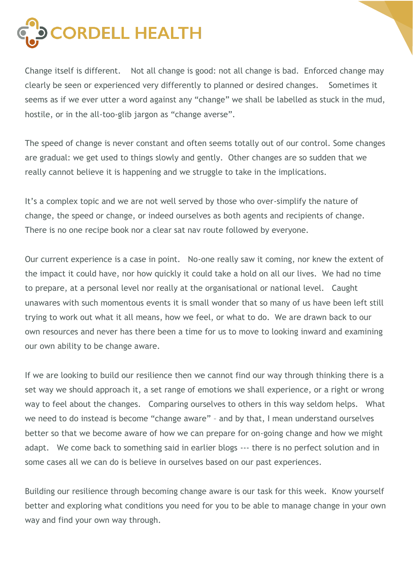

Change itself is different. Not all change is good: not all change is bad. Enforced change may clearly be seen or experienced very differently to planned or desired changes. Sometimes it seems as if we ever utter a word against any "change" we shall be labelled as stuck in the mud, hostile, or in the all-too-glib jargon as "change averse".

The speed of change is never constant and often seems totally out of our control. Some changes are gradual: we get used to things slowly and gently. Other changes are so sudden that we really cannot believe it is happening and we struggle to take in the implications.

It's a complex topic and we are not well served by those who over-simplify the nature of change, the speed or change, or indeed ourselves as both agents and recipients of change. There is no one recipe book nor a clear sat nav route followed by everyone.

Our current experience is a case in point. No-one really saw it coming, nor knew the extent of the impact it could have, nor how quickly it could take a hold on all our lives. We had no time to prepare, at a personal level nor really at the organisational or national level. Caught unawares with such momentous events it is small wonder that so many of us have been left still trying to work out what it all means, how we feel, or what to do. We are drawn back to our own resources and never has there been a time for us to move to looking inward and examining our own ability to be change aware.

If we are looking to build our resilience then we cannot find our way through thinking there is a set way we should approach it, a set range of emotions we shall experience, or a right or wrong way to feel about the changes. Comparing ourselves to others in this way seldom helps. What we need to do instead is become "change aware" – and by that, I mean understand ourselves better so that we become aware of how we can prepare for on-going change and how we might adapt. We come back to something said in earlier blogs --- there is no perfect solution and in some cases all we can do is believe in ourselves based on our past experiences.

Building our resilience through becoming change aware is our task for this week. Know yourself better and exploring what conditions you need for you to be able to manage change in your own way and find your own way through.